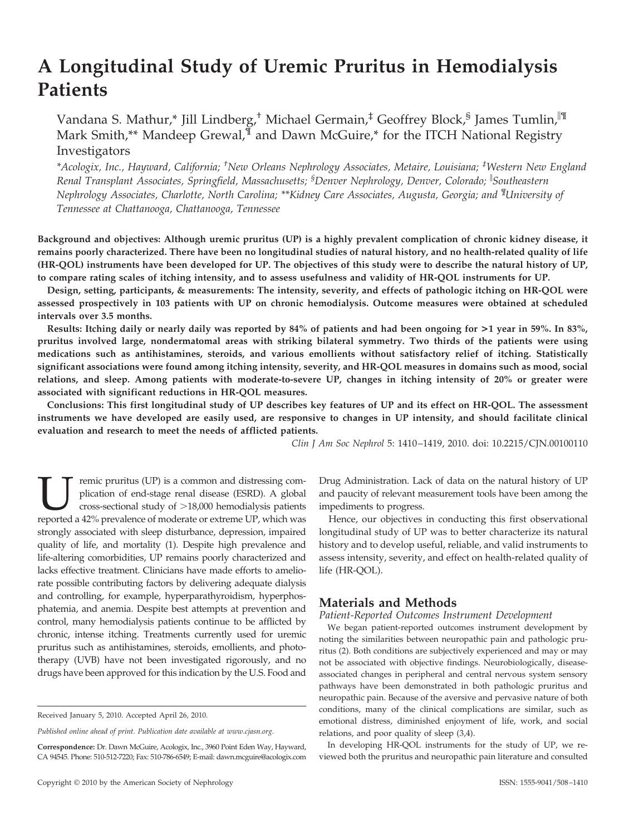# **A Longitudinal Study of Uremic Pruritus in Hemodialysis Patients**

# Vandana S. Mathur,\* Jill Lindberg,<sup>†</sup> Michael Germain,<sup>‡</sup> Geoffrey Block,<sup>§</sup> James Tumlin,<sup>||¶</sup> Mark Smith, $*$ <sup>\*</sup> Mandeep Grewal, $^{\overline{q}}$  and Dawn McGuire, $*$  for the ITCH National Registry Investigators

*\*Acologix, Inc., Hayward, California; † New Orleans Nephrology Associates, Metaire, Louisiana; ‡ Western New England Renal Transplant Associates, Springfield, Massachusetts; § Denver Nephrology, Denver, Colorado; Southeastern Nephrology Associates, Charlotte, North Carolina; \*\*Kidney Care Associates, Augusta, Georgia; and ¶ University of Tennessee at Chattanooga, Chattanooga, Tennessee*

**Background and objectives: Although uremic pruritus (UP) is a highly prevalent complication of chronic kidney disease, it remains poorly characterized. There have been no longitudinal studies of natural history, and no health-related quality of life (HR-QOL) instruments have been developed for UP. The objectives of this study were to describe the natural history of UP, to compare rating scales of itching intensity, and to assess usefulness and validity of HR-QOL instruments for UP.**

**Design, setting, participants, & measurements: The intensity, severity, and effects of pathologic itching on HR-QOL were assessed prospectively in 103 patients with UP on chronic hemodialysis. Outcome measures were obtained at scheduled intervals over 3.5 months.**

**Results: Itching daily or nearly daily was reported by 84% of patients and had been ongoing for >1 year in 59%. In 83%, pruritus involved large, nondermatomal areas with striking bilateral symmetry. Two thirds of the patients were using medications such as antihistamines, steroids, and various emollients without satisfactory relief of itching. Statistically significant associations were found among itching intensity, severity, and HR-QOL measures in domains such as mood, social relations, and sleep. Among patients with moderate-to-severe UP, changes in itching intensity of 20% or greater were associated with significant reductions in HR-QOL measures.**

**Conclusions: This first longitudinal study of UP describes key features of UP and its effect on HR-QOL. The assessment instruments we have developed are easily used, are responsive to changes in UP intensity, and should facilitate clinical evaluation and research to meet the needs of afflicted patients.**

*Clin J Am Soc Nephrol* 5: 1410 –1419, 2010. doi: 10.2215/CJN.00100110

**THE SERVING THE CONSTRANCE CONCRETED FOR A SUMPLE SERVING THE PROPENDIST CONSERVANCE CONSERVANCE CONSERVANCE PROPENDIST CONSERVANCE PROPENDIST CONSERVANCE PROPENDIST CONSERVANCE PROPENDIST CONSERVANCE PROPENDIST CONSERVAN** plication of end-stage renal disease (ESRD). A global cross-sectional study of  $>18,000$  hemodialysis patients reported a 42% prevalence of moderate or extreme UP, which was strongly associated with sleep disturbance, depression, impaired quality of life, and mortality (1). Despite high prevalence and life-altering comorbidities, UP remains poorly characterized and lacks effective treatment. Clinicians have made efforts to ameliorate possible contributing factors by delivering adequate dialysis and controlling, for example, hyperparathyroidism, hyperphosphatemia, and anemia. Despite best attempts at prevention and control, many hemodialysis patients continue to be afflicted by chronic, intense itching. Treatments currently used for uremic pruritus such as antihistamines, steroids, emollients, and phototherapy (UVB) have not been investigated rigorously, and no drugs have been approved for this indication by the U.S. Food and

Drug Administration. Lack of data on the natural history of UP and paucity of relevant measurement tools have been among the impediments to progress.

Hence, our objectives in conducting this first observational longitudinal study of UP was to better characterize its natural history and to develop useful, reliable, and valid instruments to assess intensity, severity, and effect on health-related quality of life (HR-QOL).

# **Materials and Methods**

*Patient-Reported Outcomes Instrument Development*

We began patient-reported outcomes instrument development by noting the similarities between neuropathic pain and pathologic pruritus (2). Both conditions are subjectively experienced and may or may not be associated with objective findings. Neurobiologically, diseaseassociated changes in peripheral and central nervous system sensory pathways have been demonstrated in both pathologic pruritus and neuropathic pain. Because of the aversive and pervasive nature of both conditions, many of the clinical complications are similar, such as emotional distress, diminished enjoyment of life, work, and social relations, and poor quality of sleep (3,4).

In developing HR-QOL instruments for the study of UP, we reviewed both the pruritus and neuropathic pain literature and consulted

Received January 5, 2010. Accepted April 26, 2010.

*Published online ahead of print. Publication date available at www.cjasn.org.*

**Correspondence:** Dr. Dawn McGuire, Acologix, Inc., 3960 Point Eden Way, Hayward, CA 94545. Phone: 510-512-7220; Fax: 510-786-6549; E-mail: dawn.mcguire@acologix.com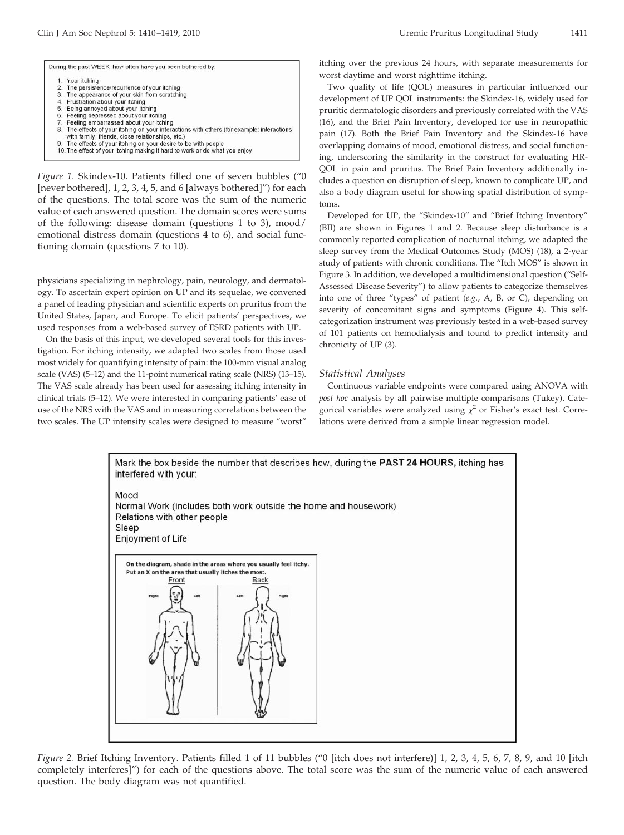9. The effects of your itching on your desire to be with people<br>10. The effect of your itching making it hard to work or do what you enjoy

*Figure 1.* Skindex-10. Patients filled one of seven bubbles ("0 [never bothered], 1, 2, 3, 4, 5, and 6 [always bothered]") for each of the questions. The total score was the sum of the numeric value of each answered question. The domain scores were sums of the following: disease domain (questions 1 to 3), mood/ emotional distress domain (questions 4 to 6), and social functioning domain (questions 7 to 10).

physicians specializing in nephrology, pain, neurology, and dermatology. To ascertain expert opinion on UP and its sequelae, we convened a panel of leading physician and scientific experts on pruritus from the United States, Japan, and Europe. To elicit patients' perspectives, we used responses from a web-based survey of ESRD patients with UP.

On the basis of this input, we developed several tools for this investigation. For itching intensity, we adapted two scales from those used most widely for quantifying intensity of pain: the 100-mm visual analog scale (VAS) (5–12) and the 11-point numerical rating scale (NRS) (13–15). The VAS scale already has been used for assessing itching intensity in clinical trials (5–12). We were interested in comparing patients' ease of use of the NRS with the VAS and in measuring correlations between the two scales. The UP intensity scales were designed to measure "worst"

itching over the previous 24 hours, with separate measurements for worst daytime and worst nighttime itching.

Two quality of life (QOL) measures in particular influenced our development of UP QOL instruments: the Skindex-16, widely used for pruritic dermatologic disorders and previously correlated with the VAS (16), and the Brief Pain Inventory, developed for use in neuropathic pain (17). Both the Brief Pain Inventory and the Skindex-16 have overlapping domains of mood, emotional distress, and social functioning, underscoring the similarity in the construct for evaluating HR-QOL in pain and pruritus. The Brief Pain Inventory additionally includes a question on disruption of sleep, known to complicate UP, and also a body diagram useful for showing spatial distribution of symptoms.

Developed for UP, the "Skindex-10" and "Brief Itching Inventory" (BII) are shown in Figures 1 and 2. Because sleep disturbance is a commonly reported complication of nocturnal itching, we adapted the sleep survey from the Medical Outcomes Study (MOS) (18), a 2-year study of patients with chronic conditions. The "Itch MOS" is shown in Figure 3. In addition, we developed a multidimensional question ("Self-Assessed Disease Severity") to allow patients to categorize themselves into one of three "types" of patient (*e.g.*, A, B, or C), depending on severity of concomitant signs and symptoms (Figure 4). This selfcategorization instrument was previously tested in a web-based survey of 101 patients on hemodialysis and found to predict intensity and chronicity of UP (3).

#### *Statistical Analyses*

Continuous variable endpoints were compared using ANOVA with *post hoc* analysis by all pairwise multiple comparisons (Tukey). Categorical variables were analyzed using  $\chi^2$  or Fisher's exact test. Correlations were derived from a simple linear regression model.



*Figure 2.* Brief Itching Inventory. Patients filled 1 of 11 bubbles ("0 [itch does not interfere)] 1, 2, 3, 4, 5, 6, 7, 8, 9, and 10 [itch completely interferes]") for each of the questions above. The total score was the sum of the numeric value of each answered question. The body diagram was not quantified.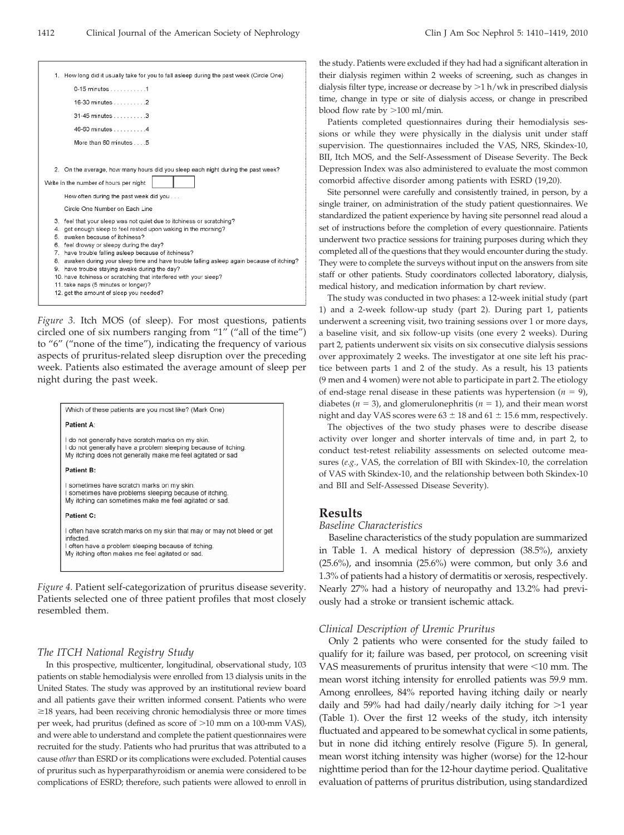*Figure 3.* Itch MOS (of sleep). For most questions, patients circled one of six numbers ranging from "1" ("all of the time") to "6" ("none of the time"), indicating the frequency of various aspects of pruritus-related sleep disruption over the preceding week. Patients also estimated the average amount of sleep per night during the past week.

8. awaken during your sleep time and have trouble falling asleep again because of itching?

| I often have scratch marks on my skin that may or may not bleed or get |
|------------------------------------------------------------------------|
|                                                                        |
|                                                                        |
|                                                                        |

*Figure 4.* Patient self-categorization of pruritus disease severity. Patients selected one of three patient profiles that most closely resembled them.

#### *The ITCH National Registry Study*

In this prospective, multicenter, longitudinal, observational study, 103 patients on stable hemodialysis were enrolled from 13 dialysis units in the United States. The study was approved by an institutional review board and all patients gave their written informed consent. Patients who were -18 years, had been receiving chronic hemodialysis three or more times per week, had pruritus (defined as score of  $>10$  mm on a 100-mm VAS), and were able to understand and complete the patient questionnaires were recruited for the study. Patients who had pruritus that was attributed to a cause *other* than ESRD or its complications were excluded. Potential causes of pruritus such as hyperparathyroidism or anemia were considered to be complications of ESRD; therefore, such patients were allowed to enroll in the study. Patients were excluded if they had had a significant alteration in their dialysis regimen within 2 weeks of screening, such as changes in dialysis filter type, increase or decrease by  $>1$  h/wk in prescribed dialysis time, change in type or site of dialysis access, or change in prescribed blood flow rate by  $>100$  ml/min.

Patients completed questionnaires during their hemodialysis sessions or while they were physically in the dialysis unit under staff supervision. The questionnaires included the VAS, NRS, Skindex-10, BII, Itch MOS, and the Self-Assessment of Disease Severity. The Beck Depression Index was also administered to evaluate the most common comorbid affective disorder among patients with ESRD (19,20).

Site personnel were carefully and consistently trained, in person, by a single trainer, on administration of the study patient questionnaires. We standardized the patient experience by having site personnel read aloud a set of instructions before the completion of every questionnaire. Patients underwent two practice sessions for training purposes during which they completed all of the questions that they would encounter during the study. They were to complete the surveys without input on the answers from site staff or other patients. Study coordinators collected laboratory, dialysis, medical history, and medication information by chart review.

The study was conducted in two phases: a 12-week initial study (part 1) and a 2-week follow-up study (part 2). During part 1, patients underwent a screening visit, two training sessions over 1 or more days, a baseline visit, and six follow-up visits (one every 2 weeks). During part 2, patients underwent six visits on six consecutive dialysis sessions over approximately 2 weeks. The investigator at one site left his practice between parts 1 and 2 of the study. As a result, his 13 patients (9 men and 4 women) were not able to participate in part 2. The etiology of end-stage renal disease in these patients was hypertension  $(n = 9)$ , diabetes ( $n = 3$ ), and glomerulonephritis ( $n = 1$ ), and their mean worst night and day VAS scores were  $63 \pm 18$  and  $61 \pm 15.6$  mm, respectively.

The objectives of the two study phases were to describe disease activity over longer and shorter intervals of time and, in part 2, to conduct test-retest reliability assessments on selected outcome measures (*e.g.*, VAS, the correlation of BII with Skindex-10, the correlation of VAS with Skindex-10, and the relationship between both Skindex-10 and BII and Self-Assessed Disease Severity).

# **Results**

#### *Baseline Characteristics*

Baseline characteristics of the study population are summarized in Table 1. A medical history of depression (38.5%), anxiety (25.6%), and insomnia (25.6%) were common, but only 3.6 and 1.3% of patients had a history of dermatitis or xerosis, respectively. Nearly 27% had a history of neuropathy and 13.2% had previously had a stroke or transient ischemic attack.

#### *Clinical Description of Uremic Pruritus*

Only 2 patients who were consented for the study failed to qualify for it; failure was based, per protocol, on screening visit VAS measurements of pruritus intensity that were  $\leq 10$  mm. The mean worst itching intensity for enrolled patients was 59.9 mm. Among enrollees, 84% reported having itching daily or nearly daily and 59% had had daily/nearly daily itching for  $>1$  year (Table 1). Over the first 12 weeks of the study, itch intensity fluctuated and appeared to be somewhat cyclical in some patients, but in none did itching entirely resolve (Figure 5). In general, mean worst itching intensity was higher (worse) for the 12-hour nighttime period than for the 12-hour daytime period. Qualitative evaluation of patterns of pruritus distribution, using standardized

1. How long did it usually take for you to fall asleep during the past week (Circle One)

2. On the average, how many hours did you sleep each night during the past week?

0-15 minutes . . . . . . . . . . . 1 16-30 minutes . . . . . . . . . . 2 31-45 minutes . . . . . . . . . . 3 46-60 minutes . . . . . . . . . . 4 More than 60 minutes . . . . 5

Write in the number of hours per night

5. awaken because of itchiness? 6. feel drowsy or sleepy during the day? 7. have trouble falling asleep because of itchiness?

11. take naps (5 minutes or longer)? 12. get the amount of sleep you needed?

How often during the past week did you... Circle One Number on Each Line

9. have trouble staying awake during the day?

3. feel that your sleep was not quiet due to itchiness or scratching? 4. get enough sleep to feel rested upon waking in the morning?

10. have itchiness or scratching that interfered with your sleep?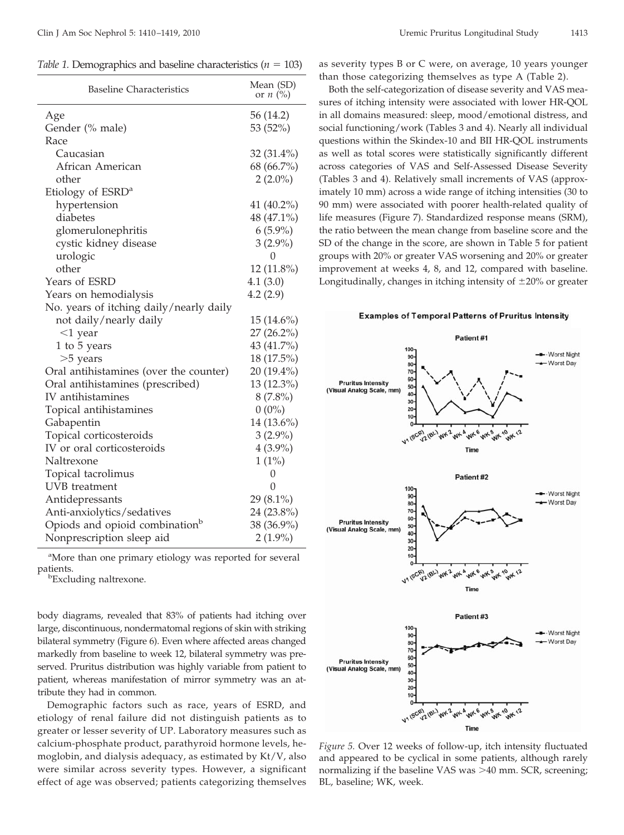## *Table 1.* Demographics and baseline characteristics ( $n = 103$ )

| <b>Baseline Characteristics</b>            | Mean (SD)<br>or $n \ (\%)$ |
|--------------------------------------------|----------------------------|
| Age                                        | 56 (14.2)                  |
| Gender (% male)                            | 53 (52%)                   |
| Race                                       |                            |
| Caucasian                                  | 32 (31.4%)                 |
| African American                           | 68 (66.7%)                 |
| other                                      | $2(2.0\%)$                 |
| Etiology of ESRD <sup>a</sup>              |                            |
| hypertension                               | 41 (40.2%)                 |
| diabetes                                   | 48 (47.1%)                 |
| glomerulonephritis                         | $6(5.9\%)$                 |
| cystic kidney disease                      | $3(2.9\%)$                 |
| urologic                                   | $\theta$                   |
| other                                      | 12 (11.8%)                 |
| Years of ESRD                              | 4.1(3.0)                   |
| Years on hemodialysis                      | 4.2(2.9)                   |
| No. years of itching daily/nearly daily    |                            |
| not daily/nearly daily                     | 15 (14.6%)                 |
| $<$ 1 year                                 | 27 (26.2%)                 |
| 1 to 5 years                               | 43 (41.7%)                 |
| $>5$ years                                 | 18 (17.5%)                 |
| Oral antihistamines (over the counter)     | 20 (19.4%)                 |
| Oral antihistamines (prescribed)           | 13 (12.3%)                 |
| IV antihistamines                          | $8(7.8\%)$                 |
| Topical antihistamines                     | $0(0\%)$                   |
| Gabapentin                                 | 14 (13.6%)                 |
| Topical corticosteroids                    | $3(2.9\%)$                 |
| IV or oral corticosteroids                 | $4(3.9\%)$                 |
| Naltrexone                                 | $1(1\%)$                   |
| Topical tacrolimus                         | 0                          |
| <b>UVB</b> treatment                       | 0                          |
| Antidepressants                            | 29 (8.1%)                  |
| Anti-anxiolytics/sedatives                 | 24 (23.8%)                 |
| Opiods and opioid combination <sup>b</sup> | 38 (36.9%)                 |
| Nonprescription sleep aid                  | $2(1.9\%)$                 |

<sup>a</sup>More than one primary etiology was reported for several patients.

**Excluding naltrexone.** 

body diagrams, revealed that 83% of patients had itching over large, discontinuous, nondermatomal regions of skin with striking bilateral symmetry (Figure 6). Even where affected areas changed markedly from baseline to week 12, bilateral symmetry was preserved. Pruritus distribution was highly variable from patient to patient, whereas manifestation of mirror symmetry was an attribute they had in common.

Demographic factors such as race, years of ESRD, and etiology of renal failure did not distinguish patients as to greater or lesser severity of UP. Laboratory measures such as calcium-phosphate product, parathyroid hormone levels, hemoglobin, and dialysis adequacy, as estimated by Kt/V, also were similar across severity types. However, a significant effect of age was observed; patients categorizing themselves as severity types B or C were, on average, 10 years younger than those categorizing themselves as type A (Table 2).

Both the self-categorization of disease severity and VAS measures of itching intensity were associated with lower HR-QOL in all domains measured: sleep, mood/emotional distress, and social functioning/work (Tables 3 and 4). Nearly all individual questions within the Skindex-10 and BII HR-QOL instruments as well as total scores were statistically significantly different across categories of VAS and Self-Assessed Disease Severity (Tables 3 and 4). Relatively small increments of VAS (approximately 10 mm) across a wide range of itching intensities (30 to 90 mm) were associated with poorer health-related quality of life measures (Figure 7). Standardized response means (SRM), the ratio between the mean change from baseline score and the SD of the change in the score, are shown in Table 5 for patient groups with 20% or greater VAS worsening and 20% or greater improvement at weeks 4, 8, and 12, compared with baseline. Longitudinally, changes in itching intensity of  $\pm 20\%$  or greater

**Examples of Temporal Patterns of Pruritus Intensity** 



*Figure 5.* Over 12 weeks of follow-up, itch intensity fluctuated and appeared to be cyclical in some patients, although rarely normalizing if the baseline VAS was  $>40$  mm. SCR, screening; BL, baseline; WK, week.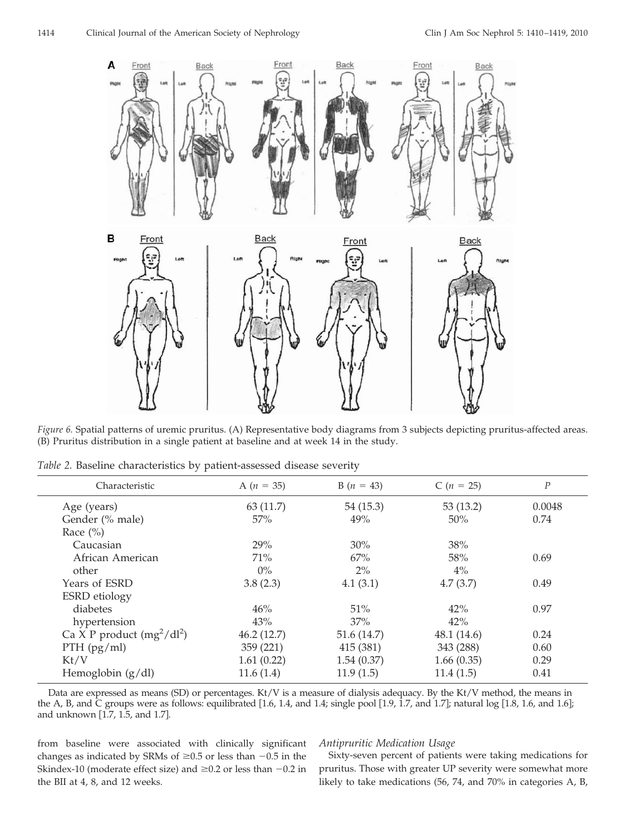

*Figure 6.* Spatial patterns of uremic pruritus. (A) Representative body diagrams from 3 subjects depicting pruritus-affected areas. (B) Pruritus distribution in a single patient at baseline and at week 14 in the study.

| <i>Table 2.</i> Baseline characteristics by patient-assessed disease severity |  |  |  |  |  |  |  |  |  |  |
|-------------------------------------------------------------------------------|--|--|--|--|--|--|--|--|--|--|
|-------------------------------------------------------------------------------|--|--|--|--|--|--|--|--|--|--|

| Characteristic               | A $(n = 35)$ | B $(n = 43)$ | C $(n = 25)$ | $\boldsymbol{P}$ |
|------------------------------|--------------|--------------|--------------|------------------|
| Age (years)                  | 63 (11.7)    | 54 (15.3)    | 53(13.2)     | 0.0048           |
| Gender (% male)              | 57%          | 49%          | 50%          | 0.74             |
| Race $(\% )$                 |              |              |              |                  |
| Caucasian                    | 29%          | $30\%$       | 38%          |                  |
| African American             | 71%          | 67%          | 58%          | 0.69             |
| other                        | $0\%$        | $2\%$        | $4\%$        |                  |
| Years of ESRD                | 3.8(2.3)     | 4.1(3.1)     | 4.7(3.7)     | 0.49             |
| <b>ESRD</b> etiology         |              |              |              |                  |
| diabetes                     | 46%          | 51%          | 42%          | 0.97             |
| hypertension                 | 43%          | 37%          | 42%          |                  |
| Ca X P product $(mg^2/dl^2)$ | 46.2(12.7)   | 51.6 (14.7)  | 48.1(14.6)   | 0.24             |
| PTH $(pg/ml)$                | 359 (221)    | 415 (381)    | 343 (288)    | 0.60             |
| Kt/V                         | 1.61(0.22)   | 1.54(0.37)   | 1.66(0.35)   | 0.29             |
| Hemoglobin $(g/dl)$          | 11.6(1.4)    | 11.9(1.5)    | 11.4(1.5)    | 0.41             |

Data are expressed as means (SD) or percentages. Kt/V is a measure of dialysis adequacy. By the Kt/V method, the means in the A, B, and C groups were as follows: equilibrated  $[1.6, 1.4,$  and  $1.4$ ; single pool  $[1.9, 1.7,$  and  $1.7]$ ; natural log  $[1.8, 1.6,$  and  $1.6]$ ; and unknown [1.7, 1.5, and 1.7].

from baseline were associated with clinically significant changes as indicated by SRMs of  $\geq 0.5$  or less than  $-0.5$  in the Skindex-10 (moderate effect size) and  $\geq$ 0.2 or less than  $-0.2$  in the BII at 4, 8, and 12 weeks.

## *Antipruritic Medication Usage*

Sixty-seven percent of patients were taking medications for pruritus. Those with greater UP severity were somewhat more likely to take medications (56, 74, and 70% in categories A, B,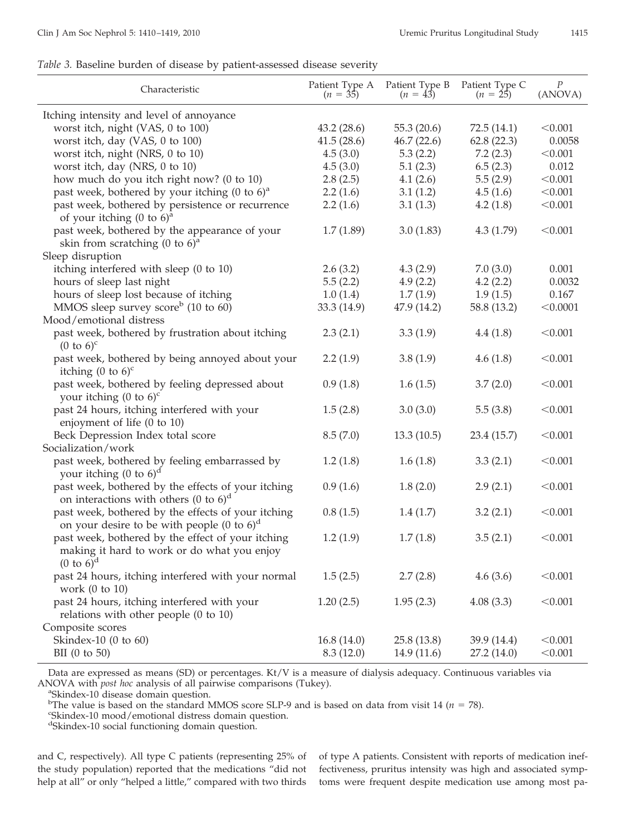## *Table 3.* Baseline burden of disease by patient-assessed disease severity

| Characteristic                                                                                                  | Patient Type A Patient Type B<br>$(n = 35)$ | $(n = 43)$                | Patient Type C<br>$(n = 25)$ | $\boldsymbol{P}$<br>(ANOVA) |
|-----------------------------------------------------------------------------------------------------------------|---------------------------------------------|---------------------------|------------------------------|-----------------------------|
| Itching intensity and level of annoyance                                                                        |                                             |                           |                              |                             |
| worst itch, night (VAS, 0 to 100)                                                                               | 43.2(28.6)                                  | 55.3(20.6)                | 72.5(14.1)                   | < 0.001                     |
| worst itch, day (VAS, 0 to 100)                                                                                 | 41.5(28.6)                                  | 46.7(22.6)                | 62.8(22.3)                   | 0.0058                      |
| worst itch, night (NRS, 0 to 10)                                                                                | 4.5(3.0)                                    | 5.3(2.2)                  | 7.2(2.3)                     | < 0.001                     |
| worst itch, day (NRS, 0 to 10)                                                                                  | 4.5(3.0)                                    | 5.1(2.3)                  | 6.5(2.3)                     | 0.012                       |
| how much do you itch right now? (0 to 10)                                                                       | 2.8(2.5)                                    | 4.1(2.6)                  | 5.5(2.9)                     | < 0.001                     |
| past week, bothered by your itching $(0 \text{ to } 6)^a$                                                       | 2.2(1.6)                                    | 3.1(1.2)                  | 4.5(1.6)                     | < 0.001                     |
| past week, bothered by persistence or recurrence<br>of your itching $(0 \text{ to } 6)^a$                       | 2.2(1.6)                                    | 3.1(1.3)                  | 4.2(1.8)                     | < 0.001                     |
| past week, bothered by the appearance of your                                                                   | 1.7(1.89)                                   | 3.0(1.83)                 | 4.3(1.79)                    | < 0.001                     |
| skin from scratching (0 to $6)^a$                                                                               |                                             |                           |                              |                             |
| Sleep disruption                                                                                                |                                             |                           |                              |                             |
| itching interfered with sleep (0 to 10)                                                                         | 2.6(3.2)                                    | 4.3(2.9)                  | 7.0(3.0)                     | 0.001                       |
| hours of sleep last night                                                                                       | 5.5(2.2)                                    | 4.9(2.2)                  | 4.2(2.2)                     | 0.0032                      |
| hours of sleep lost because of itching                                                                          | 1.0(1.4)                                    | 1.7(1.9)                  | 1.9(1.5)                     | 0.167                       |
| MMOS sleep survey score <sup>b</sup> (10 to 60)                                                                 | 33.3 (14.9)                                 | 47.9 (14.2)               | 58.8 (13.2)                  | < 0.0001                    |
| Mood/emotional distress                                                                                         |                                             |                           |                              |                             |
| past week, bothered by frustration about itching<br>$(0 \text{ to } 6)^c$                                       | 2.3(2.1)                                    | 3.3(1.9)                  | 4.4(1.8)                     | < 0.001                     |
| past week, bothered by being annoyed about your<br>itching (0 to 6) $\textdegree$                               | 2.2(1.9)                                    | 3.8(1.9)                  | 4.6(1.8)                     | < 0.001                     |
| past week, bothered by feeling depressed about<br>your itching $(0 \text{ to } 6)^c$                            | 0.9(1.8)                                    | 1.6(1.5)                  | 3.7(2.0)                     | < 0.001                     |
| past 24 hours, itching interfered with your<br>enjoyment of life (0 to 10)                                      | 1.5(2.8)                                    | 3.0(3.0)                  | 5.5(3.8)                     | < 0.001                     |
| Beck Depression Index total score                                                                               | 8.5(7.0)                                    | 13.3(10.5)                | 23.4 (15.7)                  | < 0.001                     |
| Socialization/work                                                                                              |                                             |                           |                              |                             |
| past week, bothered by feeling embarrassed by<br>your itching $(0 \text{ to } 6)^d$                             | 1.2(1.8)                                    | 1.6(1.8)                  | 3.3(2.1)                     | < 0.001                     |
| past week, bothered by the effects of your itching<br>on interactions with others (0 to 6) <sup>d</sup>         | 0.9(1.6)                                    | 1.8(2.0)                  | 2.9(2.1)                     | < 0.001                     |
| past week, bothered by the effects of your itching<br>on your desire to be with people (0 to $6$ ) <sup>d</sup> | 0.8(1.5)                                    | 1.4(1.7)                  | 3.2(2.1)                     | < 0.001                     |
| past week, bothered by the effect of your itching<br>making it hard to work or do what you enjoy                | 1.2(1.9)                                    | 1.7(1.8)                  | 3.5(2.1)                     | < 0.001                     |
| $(0 \text{ to } 6)^d$                                                                                           |                                             |                           |                              |                             |
| past 24 hours, itching interfered with your normal<br>work $(0 \text{ to } 10)$                                 | 1.5(2.5)                                    | 2.7(2.8)                  | 4.6(3.6)                     | < 0.001                     |
| past 24 hours, itching interfered with your                                                                     | 1.20(2.5)                                   | 1.95(2.3)                 | 4.08(3.3)                    | < 0.001                     |
| relations with other people $(0 \text{ to } 10)$                                                                |                                             |                           |                              |                             |
| Composite scores                                                                                                |                                             |                           |                              |                             |
| Skindex-10 (0 to 60)<br>BII (0 to 50)                                                                           | 16.8(14.0)<br>8.3(12.0)                     | 25.8(13.8)<br>14.9 (11.6) | 39.9 (14.4)<br>27.2(14.0)    | < 0.001<br>< 0.001          |
|                                                                                                                 |                                             |                           |                              |                             |

Data are expressed as means (SD) or percentages. Kt/V is a measure of dialysis adequacy. Continuous variables via ANOVA with *post hoc* analysis of all pairwise comparisons (Tukey).

Skindex-10 disease domain question.

<sup>b</sup>The value is based on the standard MMOS score SLP-9 and is based on data from visit 14 ( $n = 78$ ).

Skindex-10 mood/emotional distress domain question.

d Skindex-10 social functioning domain question.

and C, respectively). All type C patients (representing 25% of the study population) reported that the medications "did not help at all" or only "helped a little," compared with two thirds of type A patients. Consistent with reports of medication ineffectiveness, pruritus intensity was high and associated symptoms were frequent despite medication use among most pa-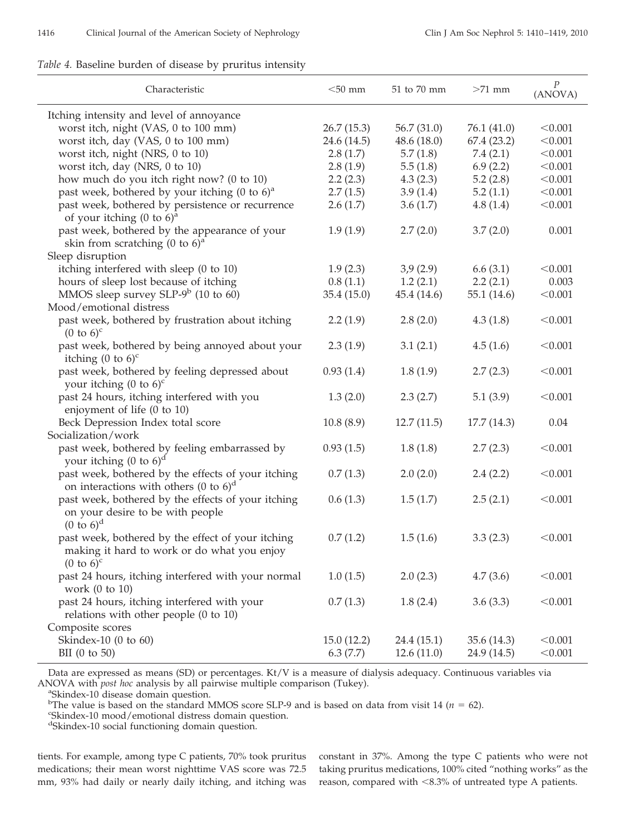## *Table 4.* Baseline burden of disease by pruritus intensity

| Characteristic                                                                                          | $<$ 50 mm  | 51 to 70 mm | $>71$ mm    | $\boldsymbol{P}$<br>(ANOVA) |
|---------------------------------------------------------------------------------------------------------|------------|-------------|-------------|-----------------------------|
| Itching intensity and level of annoyance                                                                |            |             |             |                             |
| worst itch, night (VAS, 0 to 100 mm)                                                                    | 26.7(15.3) | 56.7(31.0)  | 76.1 (41.0) | < 0.001                     |
| worst itch, day (VAS, 0 to 100 mm)                                                                      | 24.6(14.5) | 48.6(18.0)  | 67.4(23.2)  | < 0.001                     |
| worst itch, night (NRS, 0 to 10)                                                                        | 2.8(1.7)   | 5.7(1.8)    | 7.4(2.1)    | < 0.001                     |
| worst itch, day (NRS, 0 to 10)                                                                          | 2.8(1.9)   | 5.5(1.8)    | 6.9(2.2)    | < 0.001                     |
| how much do you itch right now? (0 to 10)                                                               | 2.2(2.3)   | 4.3(2.3)    | 5.2(2.8)    | < 0.001                     |
| past week, bothered by your itching $(0 \text{ to } 6)^a$                                               | 2.7(1.5)   | 3.9(1.4)    | 5.2(1.1)    | < 0.001                     |
| past week, bothered by persistence or recurrence<br>of your itching $(0 \text{ to } 6)^a$               | 2.6(1.7)   | 3.6(1.7)    | 4.8(1.4)    | < 0.001                     |
| past week, bothered by the appearance of your<br>skin from scratching (0 to $6)^a$                      | 1.9(1.9)   | 2.7(2.0)    | 3.7(2.0)    | 0.001                       |
| Sleep disruption                                                                                        |            |             |             |                             |
| itching interfered with sleep (0 to 10)                                                                 | 1.9(2.3)   | 3,9(2.9)    | 6.6(3.1)    | < 0.001                     |
| hours of sleep lost because of itching                                                                  | 0.8(1.1)   | 1.2(2.1)    | 2.2(2.1)    | 0.003                       |
| MMOS sleep survey SLP- $9^b$ (10 to 60)                                                                 | 35.4(15.0) | 45.4(14.6)  | 55.1 (14.6) | < 0.001                     |
| Mood/emotional distress                                                                                 |            |             |             |                             |
| past week, bothered by frustration about itching<br>$(0 \text{ to } 6)^c$                               | 2.2(1.9)   | 2.8(2.0)    | 4.3(1.8)    | < 0.001                     |
| past week, bothered by being annoyed about your<br>itching $(0 \text{ to } 6)^c$                        | 2.3(1.9)   | 3.1(2.1)    | 4.5(1.6)    | < 0.001                     |
| past week, bothered by feeling depressed about                                                          | 0.93(1.4)  | 1.8(1.9)    | 2.7(2.3)    | < 0.001                     |
| your itching $(0 \text{ to } 6)^c$<br>past 24 hours, itching interfered with you                        | 1.3(2.0)   | 2.3(2.7)    | 5.1(3.9)    | < 0.001                     |
| enjoyment of life (0 to 10)                                                                             |            |             |             |                             |
| Beck Depression Index total score                                                                       | 10.8(8.9)  | 12.7(11.5)  | 17.7(14.3)  | 0.04                        |
| Socialization/work                                                                                      |            |             |             |                             |
| past week, bothered by feeling embarrassed by<br>your itching (0 to 6) <sup>d</sup>                     | 0.93(1.5)  | 1.8(1.8)    | 2.7(2.3)    | < 0.001                     |
| past week, bothered by the effects of your itching<br>on interactions with others (0 to 6) <sup>d</sup> | 0.7(1.3)   | 2.0(2.0)    | 2.4(2.2)    | < 0.001                     |
| past week, bothered by the effects of your itching<br>on your desire to be with people                  | 0.6(1.3)   | 1.5(1.7)    | 2.5(2.1)    | < 0.001                     |
| $(0 \text{ to } 6)^d$                                                                                   |            |             |             |                             |
| past week, bothered by the effect of your itching<br>making it hard to work or do what you enjoy        | 0.7(1.2)   | 1.5(1.6)    | 3.3(2.3)    | < 0.001                     |
| $(0 \text{ to } 6)^c$                                                                                   |            |             |             |                             |
| past 24 hours, itching interfered with your normal<br>work $(0 \text{ to } 10)$                         | 1.0(1.5)   | 2.0(2.3)    | 4.7(3.6)    | < 0.001                     |
| past 24 hours, itching interfered with your<br>relations with other people $(0 \text{ to } 10)$         | 0.7(1.3)   | 1.8(2.4)    | 3.6(3.3)    | < 0.001                     |
| Composite scores                                                                                        |            |             |             |                             |
| Skindex-10 (0 to 60)                                                                                    | 15.0(12.2) | 24.4(15.1)  | 35.6 (14.3) | < 0.001                     |
| BII (0 to 50)                                                                                           | 6.3(7.7)   | 12.6(11.0)  | 24.9 (14.5) | < 0.001                     |

Data are expressed as means (SD) or percentages. Kt/V is a measure of dialysis adequacy. Continuous variables via ANOVA with *post hoc* analysis by all pairwise multiple comparison (Tukey).

Skindex-10 disease domain question.

<sup>b</sup>The value is based on the standard MMOS score SLP-9 and is based on data from visit 14 ( $n = 62$ ).<br>
"Skinday-10 mood (emotional distress domain question

Skindex-10 mood/emotional distress domain question.

d Skindex-10 social functioning domain question.

tients. For example, among type C patients, 70% took pruritus medications; their mean worst nighttime VAS score was 72.5 mm, 93% had daily or nearly daily itching, and itching was constant in 37%. Among the type C patients who were not taking pruritus medications, 100% cited "nothing works" as the reason, compared with  $\leq 8.3\%$  of untreated type A patients.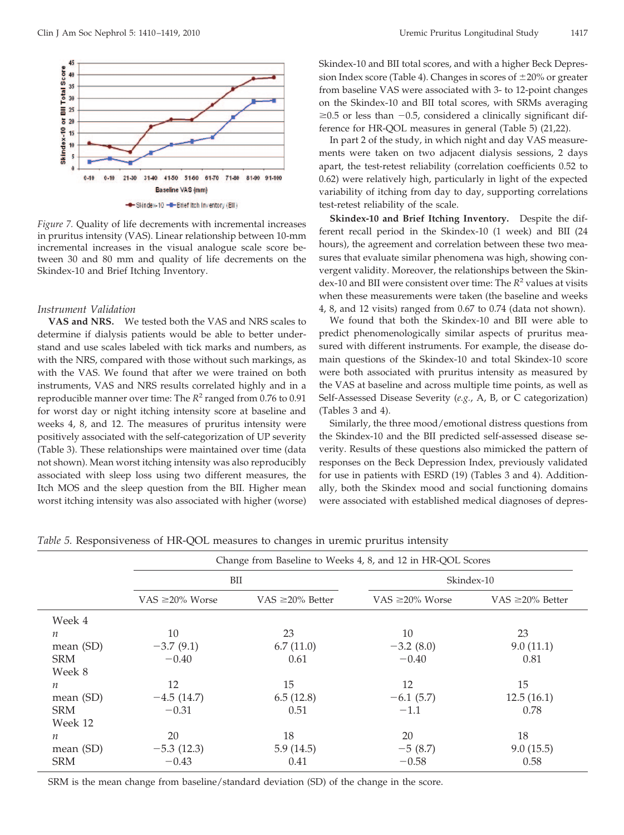

*Figure 7.* Quality of life decrements with incremental increases in pruritus intensity (VAS). Linear relationship between 10-mm incremental increases in the visual analogue scale score between 30 and 80 mm and quality of life decrements on the Skindex-10 and Brief Itching Inventory.

#### *Instrument Validation*

**VAS and NRS.** We tested both the VAS and NRS scales to determine if dialysis patients would be able to better understand and use scales labeled with tick marks and numbers, as with the NRS, compared with those without such markings, as with the VAS. We found that after we were trained on both instruments, VAS and NRS results correlated highly and in a reproducible manner over time: The  $R^2$  ranged from 0.76 to 0.91 for worst day or night itching intensity score at baseline and weeks 4, 8, and 12. The measures of pruritus intensity were positively associated with the self-categorization of UP severity (Table 3). These relationships were maintained over time (data not shown). Mean worst itching intensity was also reproducibly associated with sleep loss using two different measures, the Itch MOS and the sleep question from the BII. Higher mean worst itching intensity was also associated with higher (worse)

Skindex-10 and BII total scores, and with a higher Beck Depression Index score (Table 4). Changes in scores of  $\pm 20\%$  or greater from baseline VAS were associated with 3- to 12-point changes on the Skindex-10 and BII total scores, with SRMs averaging  $\geq$ 0.5 or less than  $-0.5$ , considered a clinically significant difference for HR-QOL measures in general (Table 5) (21,22).

In part 2 of the study, in which night and day VAS measurements were taken on two adjacent dialysis sessions, 2 days apart, the test-retest reliability (correlation coefficients 0.52 to 0.62) were relatively high, particularly in light of the expected variability of itching from day to day, supporting correlations test-retest reliability of the scale.

**Skindex-10 and Brief Itching Inventory.** Despite the different recall period in the Skindex-10 (1 week) and BII (24 hours), the agreement and correlation between these two measures that evaluate similar phenomena was high, showing convergent validity. Moreover, the relationships between the Skindex-10 and BII were consistent over time: The  $R^2$  values at visits when these measurements were taken (the baseline and weeks 4, 8, and 12 visits) ranged from 0.67 to 0.74 (data not shown).

We found that both the Skindex-10 and BII were able to predict phenomenologically similar aspects of pruritus measured with different instruments. For example, the disease domain questions of the Skindex-10 and total Skindex-10 score were both associated with pruritus intensity as measured by the VAS at baseline and across multiple time points, as well as Self-Assessed Disease Severity (*e.g.*, A, B, or C categorization) (Tables 3 and 4).

Similarly, the three mood/emotional distress questions from the Skindex-10 and the BII predicted self-assessed disease severity. Results of these questions also mimicked the pattern of responses on the Beck Depression Index, previously validated for use in patients with ESRD (19) (Tables 3 and 4). Additionally, both the Skindex mood and social functioning domains were associated with established medical diagnoses of depres-

*Table 5.* Responsiveness of HR-QOL measures to changes in uremic pruritus intensity

|                  | Change from Baseline to Weeks 4, 8, and 12 in HR-QOL Scores |                       |                      |                       |  |
|------------------|-------------------------------------------------------------|-----------------------|----------------------|-----------------------|--|
|                  | BII                                                         |                       | Skindex-10           |                       |  |
|                  | VAS $\geq$ 20% Worse                                        | VAS $\geq$ 20% Better | VAS $\geq$ 20% Worse | VAS $\geq$ 20% Better |  |
| Week 4           |                                                             |                       |                      |                       |  |
| $\boldsymbol{n}$ | 10                                                          | 23                    | 10                   | 23                    |  |
| mean (SD)        | $-3.7(9.1)$                                                 | 6.7(11.0)             | $-3.2$ (8.0)         | 9.0(11.1)             |  |
| <b>SRM</b>       | $-0.40$                                                     | 0.61                  | $-0.40$              | 0.81                  |  |
| Week 8           |                                                             |                       |                      |                       |  |
| $\boldsymbol{n}$ | 12                                                          | 15                    | 12                   | 15                    |  |
| mean $(SD)$      | $-4.5(14.7)$                                                | 6.5(12.8)             | $-6.1(5.7)$          | 12.5(16.1)            |  |
| <b>SRM</b>       | $-0.31$                                                     | 0.51                  | $-1.1$               | 0.78                  |  |
| Week 12          |                                                             |                       |                      |                       |  |
| $\boldsymbol{n}$ | 20                                                          | 18                    | 20                   | 18                    |  |
| mean $(SD)$      | $-5.3(12.3)$                                                | 5.9(14.5)             | $-5(8.7)$            | 9.0(15.5)             |  |
| <b>SRM</b>       | $-0.43$                                                     | 0.41                  | $-0.58$              | 0.58                  |  |

SRM is the mean change from baseline/standard deviation (SD) of the change in the score.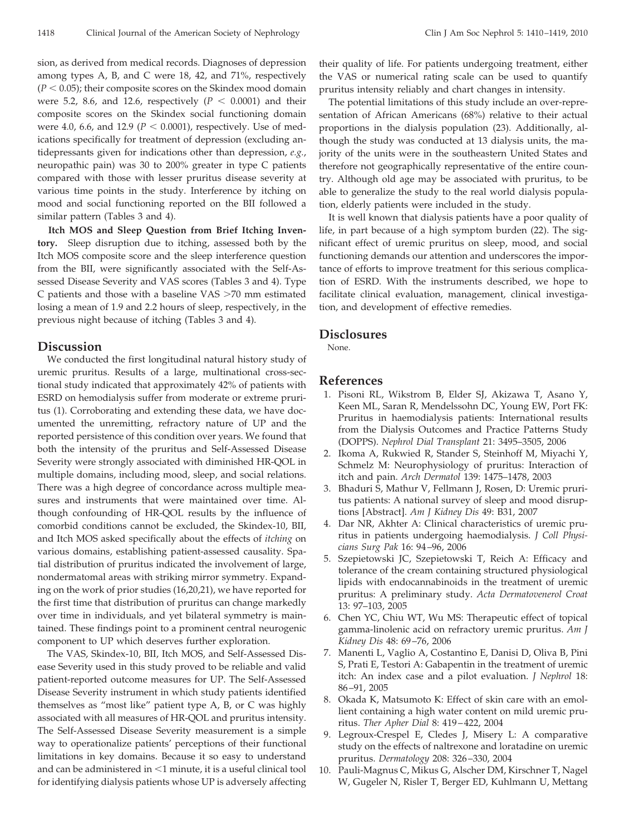sion, as derived from medical records. Diagnoses of depression among types A, B, and C were 18, 42, and 71%, respectively  $(P < 0.05)$ ; their composite scores on the Skindex mood domain were 5.2, 8.6, and 12.6, respectively  $(P < 0.0001)$  and their composite scores on the Skindex social functioning domain were 4.0, 6.6, and 12.9 ( $P < 0.0001$ ), respectively. Use of medications specifically for treatment of depression (excluding antidepressants given for indications other than depression, *e.g.*, neuropathic pain) was 30 to 200% greater in type C patients compared with those with lesser pruritus disease severity at various time points in the study. Interference by itching on mood and social functioning reported on the BII followed a similar pattern (Tables 3 and 4).

**Itch MOS and Sleep Question from Brief Itching Inventory.** Sleep disruption due to itching, assessed both by the Itch MOS composite score and the sleep interference question from the BII, were significantly associated with the Self-Assessed Disease Severity and VAS scores (Tables 3 and 4). Type C patients and those with a baseline VAS  $>70$  mm estimated losing a mean of 1.9 and 2.2 hours of sleep, respectively, in the previous night because of itching (Tables 3 and 4).

# **Discussion**

We conducted the first longitudinal natural history study of uremic pruritus. Results of a large, multinational cross-sectional study indicated that approximately 42% of patients with ESRD on hemodialysis suffer from moderate or extreme pruritus (1). Corroborating and extending these data, we have documented the unremitting, refractory nature of UP and the reported persistence of this condition over years. We found that both the intensity of the pruritus and Self-Assessed Disease Severity were strongly associated with diminished HR-QOL in multiple domains, including mood, sleep, and social relations. There was a high degree of concordance across multiple measures and instruments that were maintained over time. Although confounding of HR-QOL results by the influence of comorbid conditions cannot be excluded, the Skindex-10, BII, and Itch MOS asked specifically about the effects of *itching* on various domains, establishing patient-assessed causality. Spatial distribution of pruritus indicated the involvement of large, nondermatomal areas with striking mirror symmetry. Expanding on the work of prior studies (16,20,21), we have reported for the first time that distribution of pruritus can change markedly over time in individuals, and yet bilateral symmetry is maintained. These findings point to a prominent central neurogenic component to UP which deserves further exploration.

The VAS, Skindex-10, BII, Itch MOS, and Self-Assessed Disease Severity used in this study proved to be reliable and valid patient-reported outcome measures for UP. The Self-Assessed Disease Severity instrument in which study patients identified themselves as "most like" patient type A, B, or C was highly associated with all measures of HR-QOL and pruritus intensity. The Self-Assessed Disease Severity measurement is a simple way to operationalize patients' perceptions of their functional limitations in key domains. Because it so easy to understand and can be administered in  $\leq 1$  minute, it is a useful clinical tool for identifying dialysis patients whose UP is adversely affecting their quality of life. For patients undergoing treatment, either the VAS or numerical rating scale can be used to quantify pruritus intensity reliably and chart changes in intensity.

The potential limitations of this study include an over-representation of African Americans (68%) relative to their actual proportions in the dialysis population (23). Additionally, although the study was conducted at 13 dialysis units, the majority of the units were in the southeastern United States and therefore not geographically representative of the entire country. Although old age may be associated with pruritus, to be able to generalize the study to the real world dialysis population, elderly patients were included in the study.

It is well known that dialysis patients have a poor quality of life, in part because of a high symptom burden (22). The significant effect of uremic pruritus on sleep, mood, and social functioning demands our attention and underscores the importance of efforts to improve treatment for this serious complication of ESRD. With the instruments described, we hope to facilitate clinical evaluation, management, clinical investigation, and development of effective remedies.

# **Disclosures**

None.

#### **References**

- 1. Pisoni RL, Wikstrom B, Elder SJ, Akizawa T, Asano Y, Keen ML, Saran R, Mendelssohn DC, Young EW, Port FK: Pruritus in haemodialysis patients: International results from the Dialysis Outcomes and Practice Patterns Study (DOPPS). *Nephrol Dial Transplant* 21: 3495–3505, 2006
- 2. Ikoma A, Rukwied R, Stander S, Steinhoff M, Miyachi Y, Schmelz M: Neurophysiology of pruritus: Interaction of itch and pain. *Arch Dermatol* 139: 1475–1478, 2003
- 3. Bhaduri S, Mathur V, Fellmann J, Rosen, D: Uremic pruritus patients: A national survey of sleep and mood disruptions [Abstract]. *Am J Kidney Dis* 49: B31, 2007
- 4. Dar NR, Akhter A: Clinical characteristics of uremic pruritus in patients undergoing haemodialysis. *J Coll Physicians Surg Pak* 16: 94 –96, 2006
- 5. Szepietowski JC, Szepietowski T, Reich A: Efficacy and tolerance of the cream containing structured physiological lipids with endocannabinoids in the treatment of uremic pruritus: A preliminary study. *Acta Dermatovenerol Croat* 13: 97–103, 2005
- 6. Chen YC, Chiu WT, Wu MS: Therapeutic effect of topical gamma-linolenic acid on refractory uremic pruritus. *Am J Kidney Dis* 48: 69 –76, 2006
- 7. Manenti L, Vaglio A, Costantino E, Danisi D, Oliva B, Pini S, Prati E, Testori A: Gabapentin in the treatment of uremic itch: An index case and a pilot evaluation. *J Nephrol* 18: 86 –91, 2005
- 8. Okada K, Matsumoto K: Effect of skin care with an emollient containing a high water content on mild uremic pruritus. *Ther Apher Dial* 8: 419 – 422, 2004
- 9. Legroux-Crespel E, Cledes J, Misery L: A comparative study on the effects of naltrexone and loratadine on uremic pruritus. *Dermatology* 208: 326 –330, 2004
- 10. Pauli-Magnus C, Mikus G, Alscher DM, Kirschner T, Nagel W, Gugeler N, Risler T, Berger ED, Kuhlmann U, Mettang